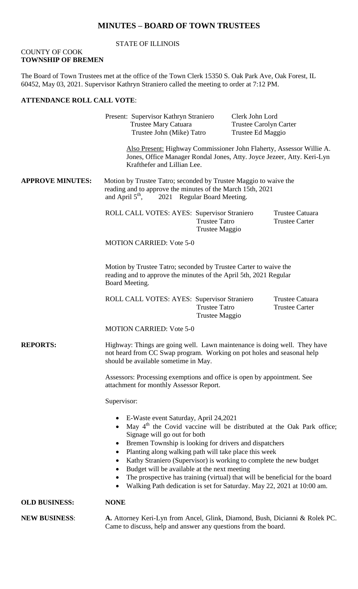## **MINUTES – BOARD OF TOWN TRUSTEES**

#### STATE OF ILLINOIS

#### COUNTY OF COOK **TOWNSHIP OF BREMEN**

The Board of Town Trustees met at the office of the Town Clerk 15350 S. Oak Park Ave, Oak Forest, IL 60452, May 03, 2021. Supervisor Kathryn Straniero called the meeting to order at 7:12 PM.

#### **ATTENDANCE ROLL CALL VOTE**:

Present: Supervisor Kathryn Straniero Clerk John Lord Trustee Mary Catuara Trustee Carolyn Carter Trustee John (Mike) Tatro Trustee Ed Maggio

Also Present: Highway Commissioner John Flaherty, Assessor Willie A. Jones, Office Manager Rondal Jones, Atty. Joyce Jezeer, Atty. Keri-Lyn Krafthefer and Lillian Lee.

**APPROVE MINUTES:** Motion by Trustee Tatro; seconded by Trustee Maggio to waive the reading and to approve the minutes of the March 15th, 2021<br>and April 5<sup>th</sup>, 2021 Regular Board Meeting. 2021 Regular Board Meeting.

> ROLL CALL VOTES: AYES: Supervisor Straniero Trustee Catuara Trustee Tatro Trustee Carter Trustee Maggio

MOTION CARRIED: Vote 5-0

Motion by Trustee Tatro; seconded by Trustee Carter to waive the reading and to approve the minutes of the April 5th, 2021 Regular Board Meeting.

ROLL CALL VOTES: AYES: Supervisor Straniero Trustee Catuara Trustee Tatro Trustee Carter Trustee Maggio

MOTION CARRIED: Vote 5-0

**REPORTS:** Highway: Things are going well. Lawn maintenance is doing well. They have not heard from CC Swap program. Working on pot holes and seasonal help should be available sometime in May.

> Assessors: Processing exemptions and office is open by appointment. See attachment for monthly Assessor Report.

Supervisor:

- E-Waste event Saturday, April 24,2021
- May  $4<sup>th</sup>$  the Covid vaccine will be distributed at the Oak Park office; Signage will go out for both
- Bremen Township is looking for drivers and dispatchers
- Planting along walking path will take place this week
- Kathy Straniero (Supervisor) is working to complete the new budget
- Budget will be available at the next meeting
- The prospective has training (virtual) that will be beneficial for the board
- Walking Path dedication is set for Saturday. May 22, 2021 at 10:00 am.

#### **OLD BUSINESS: NONE**

**NEW BUSINESS**: **A.** Attorney Keri-Lyn from Ancel, Glink, Diamond, Bush, Dicianni & Rolek PC. Came to discuss, help and answer any questions from the board.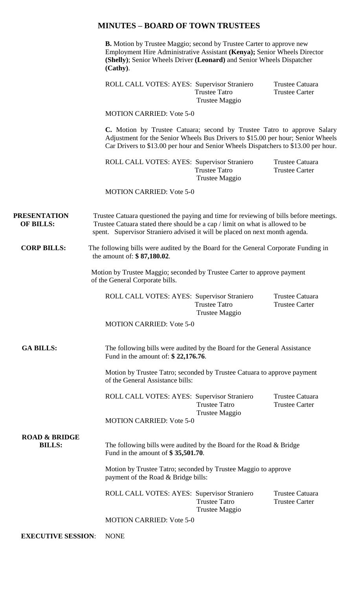### **MINUTES – BOARD OF TOWN TRUSTEES**

**B.** Motion by Trustee Maggio; second by Trustee Carter to approve new Employment Hire Administrative Assistant **(Kenya);** Senior Wheels Director **(Shelly)**; Senior Wheels Driver **(Leonard)** and Senior Wheels Dispatcher **(Cathy)**.

ROLL CALL VOTES: AYES: Supervisor Straniero Trustee Catuara Trustee Tatro Trustee Carter Trustee Maggio

MOTION CARRIED: Vote 5-0

**C.** Motion by Trustee Catuara; second by Trustee Tatro to approve Salary Adjustment for the Senior Wheels Bus Drivers to \$15.00 per hour; Senior Wheels Car Drivers to \$13.00 per hour and Senior Wheels Dispatchers to \$13.00 per hour.

ROLL CALL VOTES: AYES: Supervisor Straniero Trustee Catuara Trustee Tatro Trustee Carter Trustee Maggio

MOTION CARRIED: Vote 5-0

**PRESENTATION** Trustee Catuara questioned the paying and time for reviewing of bills before meetings. **OF BILLS:** Trustee Catuara stated there should be a cap / limit on what is allowed to be spent. Supervisor Straniero advised it will be placed on next month agenda.

**CORP BILLS:** The following bills were audited by the Board for the General Corporate Funding in the amount of: **\$ 87,180.02**.

> Motion by Trustee Maggio; seconded by Trustee Carter to approve payment of the General Corporate bills.

ROLL CALL VOTES: AYES: Supervisor Straniero Trustee Catuara Trustee Tatro Trustee Carter Trustee Maggio

MOTION CARRIED: Vote 5-0

GA BILLS: The following bills were audited by the Board for the General Assistance Fund in the amount of: **\$ 22,176.76**.

> Motion by Trustee Tatro; seconded by Trustee Catuara to approve payment of the General Assistance bills:

> ROLL CALL VOTES: AYES: Supervisor Straniero Trustee Catuara Trustee Tatro Trustee Carter Trustee Maggio

MOTION CARRIED: Vote 5-0

# **ROAD & BRIDGE**

**BILLS:** The following bills were audited by the Board for the Road & Bridge Fund in the amount of **\$ 35,501.70**.

> Motion by Trustee Tatro; seconded by Trustee Maggio to approve payment of the Road & Bridge bills:

ROLL CALL VOTES: AYES: Supervisor Straniero Trustee Catuara Trustee Tatro Trustee Carter Trustee Maggio

MOTION CARRIED: Vote 5-0

**EXECUTIVE SESSION**: NONE